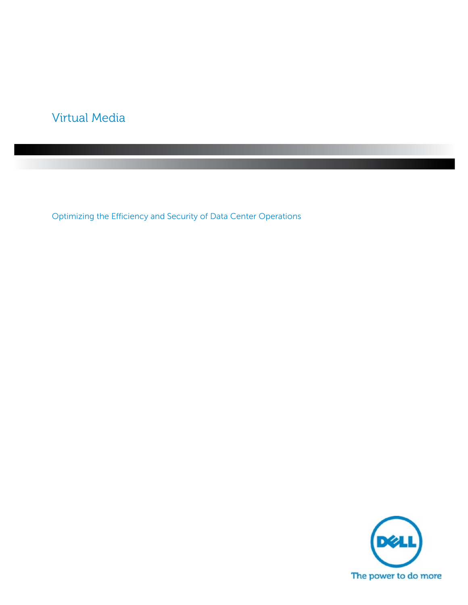# Virtual Media

Optimizing the Efficiency and Security of Data Center Operations

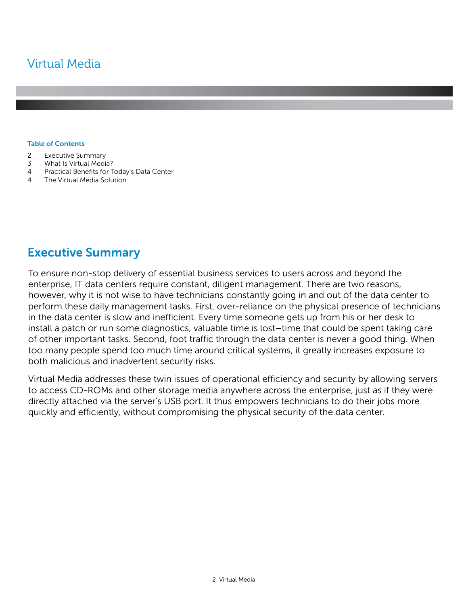# Virtual Media

#### **Table of Contents**

- 2 Executive Summary
- 3 What Is Virtual Media?
- 4 Practical Benefits for Today's Data Center
- 4 The Virtual Media Solution

## **Executive Summary**

To ensure non-stop delivery of essential business services to users across and beyond the enterprise, IT data centers require constant, diligent management. There are two reasons, however, why it is not wise to have technicians constantly going in and out of the data center to perform these daily management tasks. First, over-reliance on the physical presence of technicians in the data center is slow and inefficient. Every time someone gets up from his or her desk to install a patch or run some diagnostics, valuable time is lost–time that could be spent taking care of other important tasks. Second, foot traffic through the data center is never a good thing. When too many people spend too much time around critical systems, it greatly increases exposure to both malicious and inadvertent security risks.

Virtual Media addresses these twin issues of operational efficiency and security by allowing servers to access CD-ROMs and other storage media anywhere across the enterprise, just as if they were directly attached via the server's USB port. It thus empowers technicians to do their jobs more quickly and efficiently, without compromising the physical security of the data center.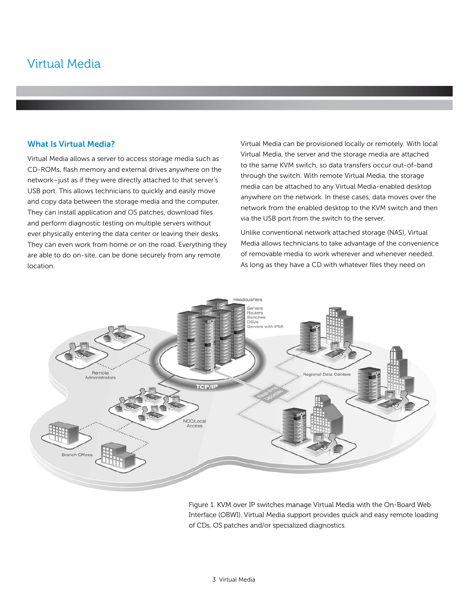## Virtual Media

### **What Is Virtual Media?**

Virtual Media allows a server to access storage media such as CD-ROMs, flash memory and external drives anywhere on the network–just as if they were directly attached to that server's USB port. This allows technicians to quickly and easily move and copy data between the storage media and the computer. They can install application and OS patches, download files and perform diagnostic testing on multiple servers without ever physically entering the data center or leaving their desks. They can even work from home or on the road. Everything they are able to do on-site, can be done securely from any remote location.

Virtual Media can be provisioned locally or remotely. With local Virtual Media, the server and the storage media are attached to the same KVM switch, so data transfers occur out-of-band through the switch. With remote Virtual Media, the storage media can be attached to any Virtual Media-enabled desktop anywhere on the network. In these cases, data moves over the network from the enabled desktop to the KVM switch and then via the USB port from the switch to the server.

Unlike conventional network attached storage (NAS), Virtual Media allows technicians to take advantage of the convenience of removable media to work wherever and whenever needed. As long as they have a CD with whatever files they need on



Figure 1. KVM over IP switches manage Virtual Media with the On-Board Web Interface (OBWI). Virtual Media support provides quick and easy remote loading of CDs, OS patches and/or specialized diagnostics.